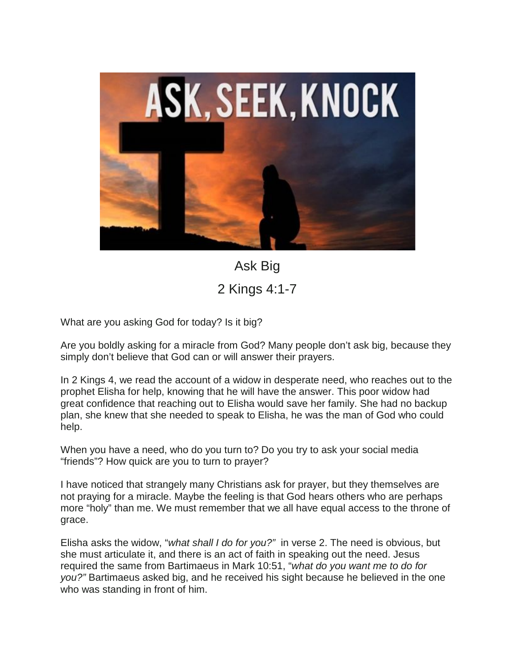

Ask Big 2 Kings 4:1-7

What are you asking God for today? Is it big?

Are you boldly asking for a miracle from God? Many people don't ask big, because they simply don't believe that God can or will answer their prayers.

In 2 Kings 4, we read the account of a widow in desperate need, who reaches out to the prophet Elisha for help, knowing that he will have the answer. This poor widow had great confidence that reaching out to Elisha would save her family. She had no backup plan, she knew that she needed to speak to Elisha, he was the man of God who could help.

When you have a need, who do you turn to? Do you try to ask your social media "friends"? How quick are you to turn to prayer?

I have noticed that strangely many Christians ask for prayer, but they themselves are not praying for a miracle. Maybe the feeling is that God hears others who are perhaps more "holy" than me. We must remember that we all have equal access to the throne of grace.

Elisha asks the widow, "*what shall I do for you?"* in verse 2. The need is obvious, but she must articulate it, and there is an act of faith in speaking out the need. Jesus required the same from Bartimaeus in Mark 10:51, "*what do you want me to do for you?"* Bartimaeus asked big, and he received his sight because he believed in the one who was standing in front of him.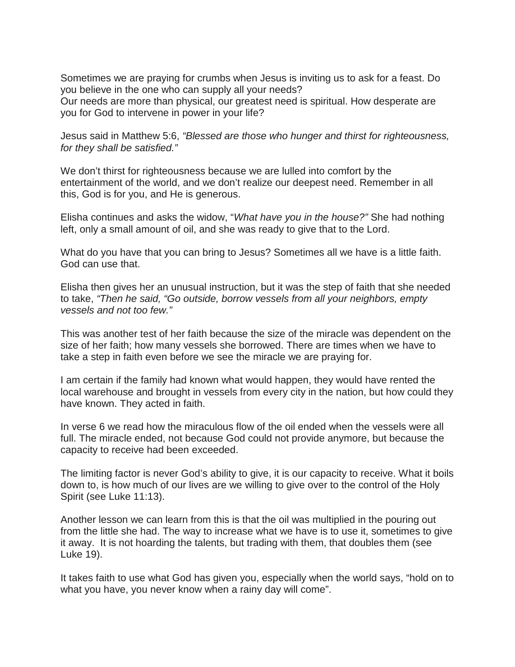Sometimes we are praying for crumbs when Jesus is inviting us to ask for a feast. Do you believe in the one who can supply all your needs?

Our needs are more than physical, our greatest need is spiritual. How desperate are you for God to intervene in power in your life?

Jesus said in Matthew 5:6, *"Blessed are those who hunger and thirst for righteousness, for they shall be satisfied."*

We don't thirst for righteousness because we are lulled into comfort by the entertainment of the world, and we don't realize our deepest need. Remember in all this, God is for you, and He is generous.

Elisha continues and asks the widow, "*What have you in the house?"* She had nothing left, only a small amount of oil, and she was ready to give that to the Lord.

What do you have that you can bring to Jesus? Sometimes all we have is a little faith. God can use that.

Elisha then gives her an unusual instruction, but it was the step of faith that she needed to take, *"Then he said, "Go outside, borrow vessels from all your neighbors, empty vessels and not too few."* 

This was another test of her faith because the size of the miracle was dependent on the size of her faith; how many vessels she borrowed. There are times when we have to take a step in faith even before we see the miracle we are praying for.

I am certain if the family had known what would happen, they would have rented the local warehouse and brought in vessels from every city in the nation, but how could they have known. They acted in faith.

In verse 6 we read how the miraculous flow of the oil ended when the vessels were all full. The miracle ended, not because God could not provide anymore, but because the capacity to receive had been exceeded.

The limiting factor is never God's ability to give, it is our capacity to receive. What it boils down to, is how much of our lives are we willing to give over to the control of the Holy Spirit (see Luke 11:13).

Another lesson we can learn from this is that the oil was multiplied in the pouring out from the little she had. The way to increase what we have is to use it, sometimes to give it away. It is not hoarding the talents, but trading with them, that doubles them (see Luke 19).

It takes faith to use what God has given you, especially when the world says, "hold on to what you have, you never know when a rainy day will come".